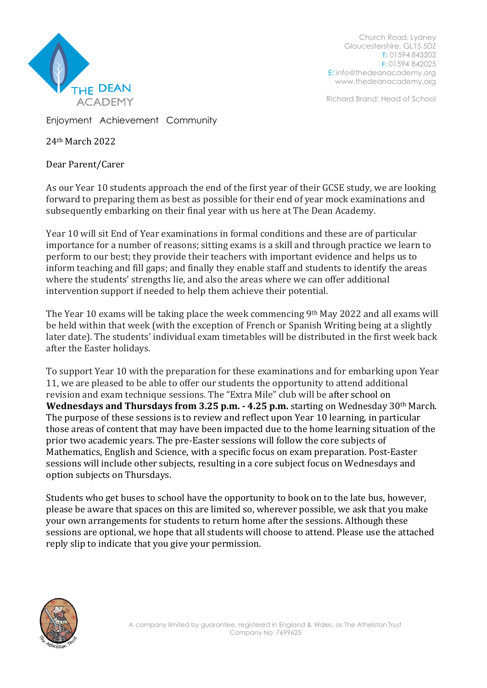

Church Road, Lydney Gloucestershire, GL15 5DZ T: 01594 843202 F: 01594 842025 E: [info@thedeanacademy.org](mailto:info@thedeanacademy.org) [www.thedeanacademy.org](http://www.thedeanacademy.org/)

Richard Brand: Head of School

Enjoyment Achievement Community

24th March 2022

Dear Parent/Carer

As our Year 10 students approach the end of the first year of their GCSE study, we are looking forward to preparing them as best as possible for their end of year mock examinations and subsequently embarking on their final year with us here at The Dean Academy.

Year 10 will sit End of Year examinations in formal conditions and these are of particular importance for a number of reasons; sitting exams is a skill and through practice we learn to perform to our best; they provide their teachers with important evidence and helps us to inform teaching and fill gaps; and finally they enable staff and students to identify the areas where the students' strengths lie, and also the areas where we can offer additional intervention support if needed to help them achieve their potential.

The Year 10 exams will be taking place the week commencing 9<sup>th</sup> May 2022 and all exams will be held within that week (with the exception of French or Spanish Writing being at a slightly later date). The students' individual exam timetables will be distributed in the first week back after the Easter holidays.

To support Year 10 with the preparation for these examinations and for embarking upon Year 11, we are pleased to be able to offer our students the opportunity to attend additional revision and exam technique sessions. The "Extra Mile" club will be after school on **Wednesdays and Thursdays from 3.25 p.m. - 4.25 p.m.** starting on Wednesday 30th March. The purpose of these sessions is to review and reflect upon Year 10 learning, in particular those areas of content that may have been impacted due to the home learning situation of the prior two academic years. The pre-Easter sessions will follow the core subjects of Mathematics, English and Science, with a specific focus on exam preparation. Post-Easter sessions will include other subjects, resulting in a core subject focus on Wednesdays and option subjects on Thursdays.

Students who get buses to school have the opportunity to book on to the late bus, however, please be aware that spaces on this are limited so, wherever possible, we ask that you make your own arrangements for students to return home after the sessions. Although these sessions are optional, we hope that all students will choose to attend. Please use the attached reply slip to indicate that you give your permission.